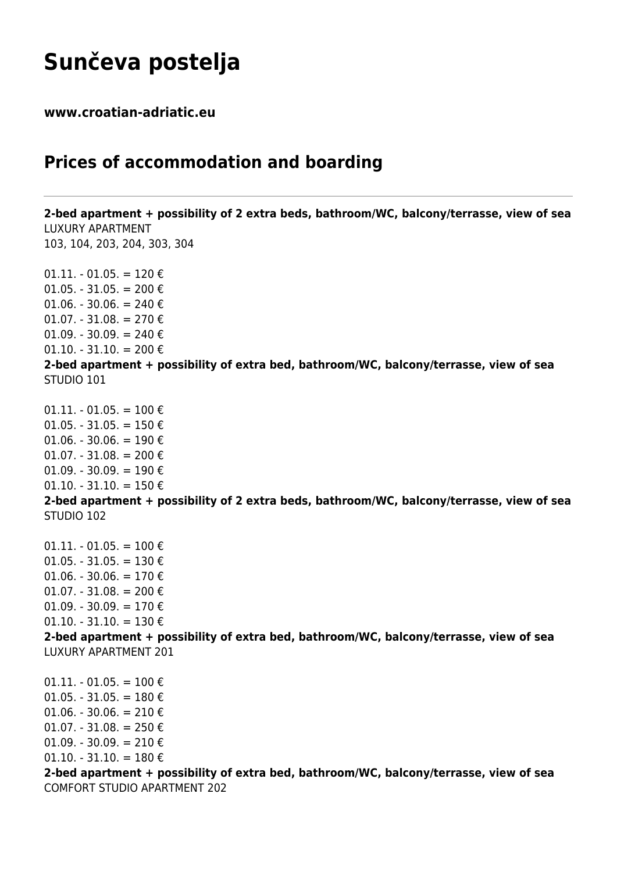## **Sunčeva postelja**

**www.croatian-adriatic.eu**

## **Prices of accommodation and boarding**

**2-bed apartment + possibility of 2 extra beds, bathroom/WC, balcony/terrasse, view of sea** LUXURY APARTMENT 103, 104, 203, 204, 303, 304  $01.11. - 01.05. = 120 \epsilon$  $01.05. - 31.05. = 200 \text{ } \epsilon$ 01.06. - 30.06. = 240  $\epsilon$ 01.07. - 31.08. = 270 € 01.09. - 30.09. = 240 €  $01.10. - 31.10. = 200 \text{ } \epsilon$ **2-bed apartment + possibility of extra bed, bathroom/WC, balcony/terrasse, view of sea** STUDIO 101  $01.11. - 01.05. = 100 \text{ } \epsilon$ 01.05. - 31.05. = 150 € 01.06. - 30.06. = 190 € 01.07. - 31.08. = 200 $\epsilon$ 01.09. - 30.09. = 190 € 01.10. - 31.10. = 150 $\epsilon$ **2-bed apartment + possibility of 2 extra beds, bathroom/WC, balcony/terrasse, view of sea** STUDIO 102  $01.11. - 01.05. = 100 \text{ } \epsilon$  $01.05. - 31.05. = 130 \text{ } \epsilon$ 01.06. - 30.06. = 170 $\epsilon$ 01.07. - 31.08. = 200 € 01.09. - 30.09. = 170 € 01.10. - 31.10. = 130 $\in$ **2-bed apartment + possibility of extra bed, bathroom/WC, balcony/terrasse, view of sea** LUXURY APARTMENT 201  $01.11. - 01.05. = 100 €$ 01.05. - 31.05. = 180 € 01.06. - 30.06. = 210 $\epsilon$ 01.07. - 31.08. = 250 € 01.09. - 30.09. = 210 €  $01.10. - 31.10. = 180 \epsilon$ **2-bed apartment + possibility of extra bed, bathroom/WC, balcony/terrasse, view of sea** COMFORT STUDIO APARTMENT 202